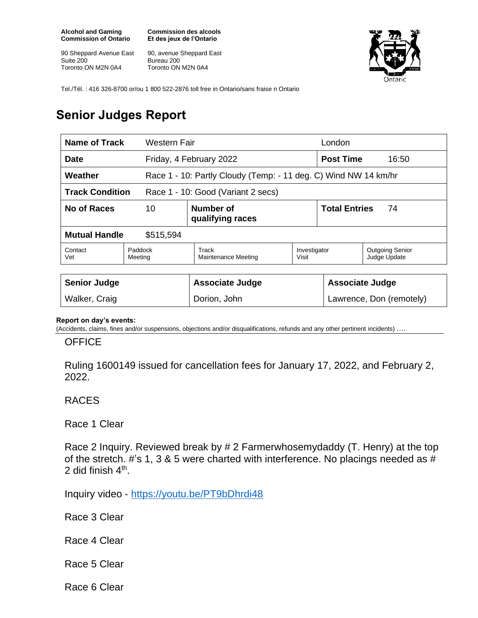**Alcohol and Gaming Commission of Ontario**

90 Sheppard Avenue East Suite 200 Toronto ON M2N 0A4

**Commission des alcools Et des jeux de l'Ontario**

90, avenue Sheppard East Bureau 200 Toronto ON M2N 0A4



Tel./Tél. : 416 326-8700 or/ou 1 800 522-2876 toll free in Ontario/sans fraise n Ontario

## **Senior Judges Report**

| <b>Name of Track</b>                                         |                    | Western Fair                                                    |                       | London                     |                                        |
|--------------------------------------------------------------|--------------------|-----------------------------------------------------------------|-----------------------|----------------------------|----------------------------------------|
| <b>Date</b>                                                  |                    | Friday, 4 February 2022                                         |                       | <b>Post Time</b>           | 16:50                                  |
| Weather                                                      |                    | Race 1 - 10: Partly Cloudy (Temp: - 11 deg. C) Wind NW 14 km/hr |                       |                            |                                        |
| <b>Track Condition</b><br>Race 1 - 10: Good (Variant 2 secs) |                    |                                                                 |                       |                            |                                        |
| No of Races<br>10                                            |                    | Number of<br>qualifying races                                   |                       | <b>Total Entries</b><br>74 |                                        |
| <b>Mutual Handle</b><br>\$515,594                            |                    |                                                                 |                       |                            |                                        |
| Contact<br>Vet                                               | Paddock<br>Meeting | Track<br>Maintenance Meeting                                    | Investigator<br>Visit |                            | <b>Outgoing Senior</b><br>Judge Update |
|                                                              |                    |                                                                 |                       |                            |                                        |
| <b>Senior Judge</b>                                          |                    | <b>Associate Judge</b>                                          |                       | <b>Associate Judge</b>     |                                        |
| Walker, Craig                                                |                    | Dorion, John                                                    |                       | Lawrence, Don (remotely)   |                                        |

## **Report on day's events:**

(Accidents, claims, fines and/or suspensions, objections and/or disqualifications, refunds and any other pertinent incidents)

## **OFFICE**

Ruling 1600149 issued for cancellation fees for January 17, 2022, and February 2, 2022.

## RACES

Race 1 Clear

Race 2 Inquiry. Reviewed break by # 2 Farmerwhosemydaddy (T. Henry) at the top of the stretch. #'s 1, 3 & 5 were charted with interference. No placings needed as # 2 did finish 4<sup>th</sup>.

Inquiry video - <https://youtu.be/PT9bDhrdi48>

Race 3 Clear

Race 4 Clear

Race 5 Clear

Race 6 Clear